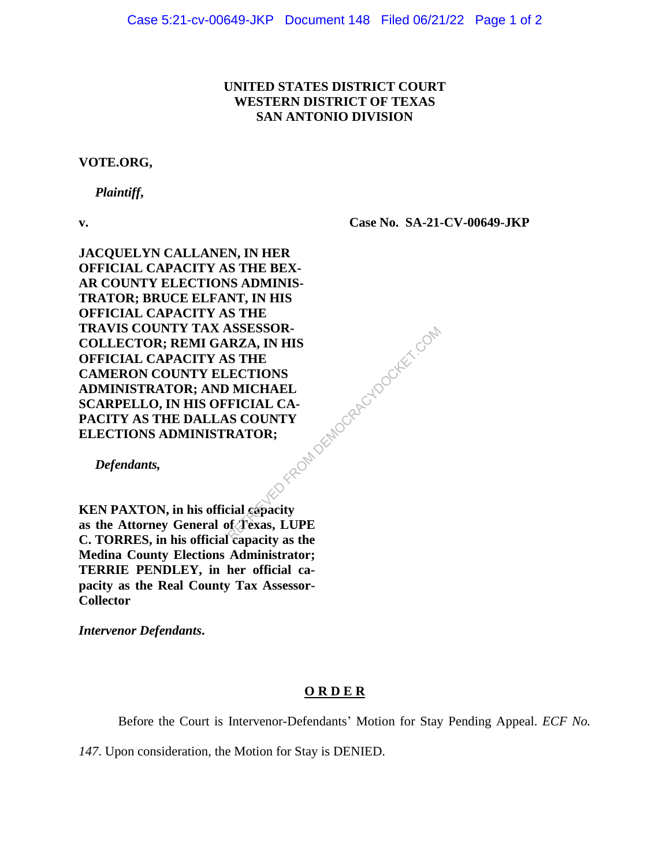## **UNITED STATES DISTRICT COURT WESTERN DISTRICT OF TEXAS SAN ANTONIO DIVISION**

## **VOTE.ORG,**

 *Plaintiff***,** 

**v.**

**Case No. SA-21-CV-00649-JKP**

**JACQUELYN CALLANEN, IN HER OFFICIAL CAPACITY AS THE BEX-AR COUNTY ELECTIONS ADMINIS-TRATOR; BRUCE ELFANT, IN HIS OFFICIAL CAPACITY AS THE TRAVIS COUNTY TAX ASSESSOR-COLLECTOR; REMI GARZA, IN HIS OFFICIAL CAPACITY AS THE CAMERON COUNTY ELECTIONS ADMINISTRATOR; AND MICHAEL SCARPELLO, IN HIS OFFICIAL CA-PACITY AS THE DALLAS COUNTY ELECTIONS ADMINISTRATOR;** aci\* Republikanocrapischocker.com

 *Defendants,*

**KEN PAXTON, in his official capacity as the Attorney General of Texas, LUPE C. TORRES, in his official capacity as the Medina County Elections Administrator; TERRIE PENDLEY, in her official capacity as the Real County Tax Assessor-Collector**

*Intervenor Defendants***.**

## **O R D E R**

Before the Court is Intervenor-Defendants' Motion for Stay Pending Appeal. *ECF No.*

*147*. Upon consideration, the Motion for Stay is DENIED.